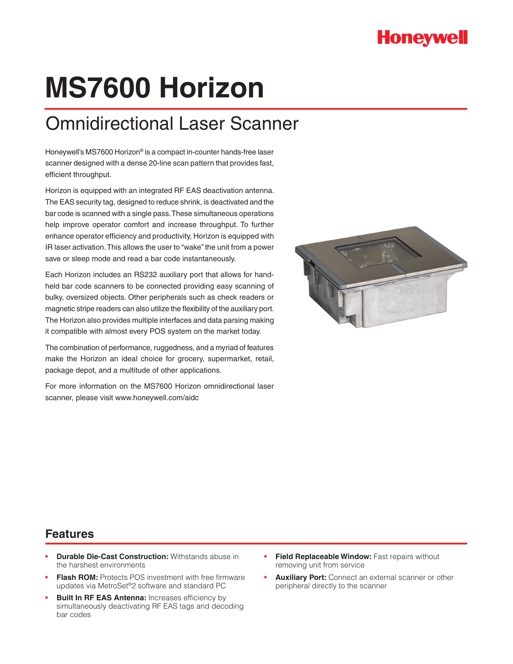## **Honeywell**

# **MS7600 Horizon**

# Omnidirectional Laser Scanner

Honeywell's MS7600 Horizon® is a compact in-counter hands-free laser scanner designed with a dense 20-line scan pattern that provides fast, efficient throughput.

Horizon is equipped with an integrated RF EAS deactivation antenna. The EAS security tag, designed to reduce shrink, is deactivated and the bar code is scanned with a single pass. These simultaneous operations help improve operator comfort and increase throughput. To further enhance operator efficiency and productivity, Horizon is equipped with IR laser activation. This allows the user to "wake" the unit from a power save or sleep mode and read a bar code instantaneously.

Each Horizon includes an RS232 auxiliary port that allows for handheld bar code scanners to be connected providing easy scanning of bulky, oversized objects. Other peripherals such as check readers or magnetic stripe readers can also utilize the flexibility of the auxiliary port. The Horizon also provides multiple interfaces and data parsing making it compatible with almost every POS system on the market today.

The combination of performance, ruggedness, and a myriad of features make the Horizon an ideal choice for grocery, supermarket, retail, package depot, and a multitude of other applications.

For more information on the MS7600 Horizon omnidirectional laser scanner, please visit www.honeywell.com/aidc



#### **Features**

- **Durable Die-Cast Construction: Withstands abuse in** the harshest environments
- **Flash ROM:** Protects POS investment with free firmware updates via MetroSet®2 software and standard PC
- **Built In RF EAS Antenna: Increases efficiency by** simultaneously deactivating RF EAS tags and decoding bar codes
- **Field Replaceable Window: Fast repairs without** removing unit from service
- **• Auxiliary Port:** Connect an external scanner or other peripheral directly to the scanner